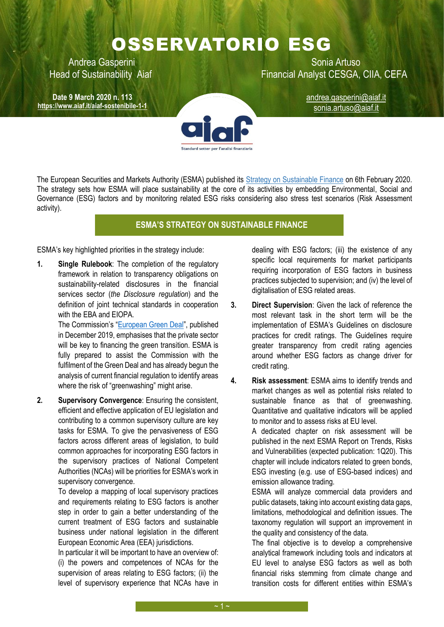## OSSERVATORIO ESG

**Date 9 March 2020 n. 113 <https://www.aiaf.it/aiaf-sostenibile-1-1>**

Andrea Gasperini **National Artuso** Sonia Artuso Head of Sustainability Aiaf Financial Analyst CESGA, CIIA, CEFA

andrea.gasperini@aiaf.it sonia.artuso@aiaf.it

The European Securities and Markets Authority (ESMA) published its [Strategy on Sustainable Finance](https://www.esma.europa.eu/sites/default/files/library/esma22-105-1052_sustainable_finance_strategy.pdf) on 6th February 2020. The strategy sets how ESMA will place sustainability at the core of its activities by embedding Environmental, Social and Governance (ESG) factors and by monitoring related ESG risks considering also stress test scenarios (Risk Assessment activity).

## **ESMA'S STRATEGY ON SUSTAINABLE FINANCE**

ESMA's key highlighted priorities in the strategy include:

**1. Single Rulebook**: The completion of the regulatory framework in relation to transparency obligations on sustainability-related disclosures in the financial services sector (*the Disclosure regulation*) and the definition of joint technical standards in cooperation with the EBA and EIOPA.

> The Commission's "[European Green Deal](https://8ac6d6ff-de6d-4a04-a840-64d7fb2cdbfd.filesusr.com/ugd/4a7e0b_5ac37fc4cc4e45cf8f77d18f405da1ee.pdf)", published in December 2019, emphasises that the private sector will be key to financing the green transition. ESMA is fully prepared to assist the Commission with the fulfilment of the Green Deal and has already begun the analysis of current financial regulation to identify areas where the risk of "greenwashing" might arise.

**2. Supervisory Convergence**: Ensuring the consistent, efficient and effective application of EU legislation and contributing to a common supervisory culture are key tasks for ESMA. To give the pervasiveness of ESG factors across different areas of legislation, to build common approaches for incorporating ESG factors in the supervisory practices of National Competent Authorities (NCAs) will be priorities for ESMA's work in supervisory convergence.

> To develop a mapping of local supervisory practices and requirements relating to ESG factors is another step in order to gain a better understanding of the current treatment of ESG factors and sustainable business under national legislation in the different European Economic Area (EEA) jurisdictions.

> In particular it will be important to have an overview of: (i) the powers and competences of NCAs for the supervision of areas relating to ESG factors; (ii) the level of supervisory experience that NCAs have in

dealing with ESG factors; (iii) the existence of any specific local requirements for market participants requiring incorporation of ESG factors in business practices subjected to supervision; and (iv) the level of digitalisation of ESG related areas.

- **3. Direct Supervision**: Given the lack of reference the most relevant task in the short term will be the implementation of ESMA's Guidelines on disclosure practices for credit ratings. The Guidelines require greater transparency from credit rating agencies around whether ESG factors as change driver for credit rating.
- **4. Risk assessment**: ESMA aims to identify trends and market changes as well as potential risks related to sustainable finance as that of greenwashing. Quantitative and qualitative indicators will be applied to monitor and to assess risks at EU level.

A dedicated chapter on risk assessment will be published in the next ESMA Report on Trends, Risks and Vulnerabilities (expected publication: 1Q20). This chapter will include indicators related to green bonds, ESG investing (e.g. use of ESG-based indices) and emission allowance trading.

ESMA will analyze commercial data providers and public datasets, taking into account existing data gaps, limitations, methodological and definition issues. The taxonomy regulation will support an improvement in the quality and consistency of the data.

The final objective is to develop a comprehensive analytical framework including tools and indicators at EU level to analyse ESG factors as well as both financial risks stemming from climate change and transition costs for different entities within ESMA's